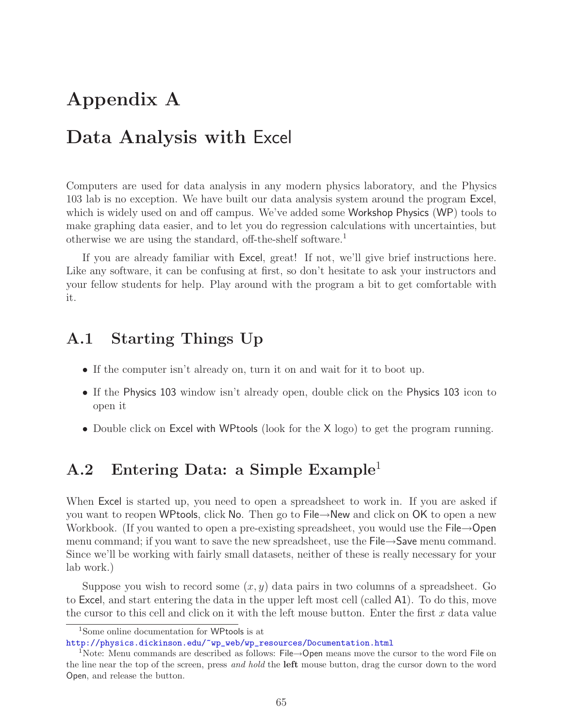# **Appendix A**

# **Data Analysis with** Excel

Computers are used for data analysis in any modern physics laboratory, and the Physics 103 lab is no exception. We have built our data analysis system around the program Excel, which is widely used on and off campus. We've added some Workshop Physics (WP) tools to make graphing data easier, and to let you do regression calculations with uncertainties, but otherwise we are using the standard, off-the-shelf software.<sup>1</sup>

If you are already familiar with Excel, great! If not, we'll give brief instructions here. Like any software, it can be confusing at first, so don't hesitate to ask your instructors and your fellow students for help. Play around with the program a bit to get comfortable with it.

#### **A.1 Starting Things Up**

- If the computer isn't already on, turn it on and wait for it to boot up.
- If the Physics 103 window isn't already open, double click on the Physics 103 icon to open it
- Double click on Excel with WPtools (look for the X logo) to get the program running.

#### **A.2 Entering Data: a Simple Example**<sup>1</sup>

When Excel is started up, you need to open a spreadsheet to work in. If you are asked if you want to reopen WPtools, click No. Then go to File→New and click on OK to open a new Workbook. (If you wanted to open a pre-existing spreadsheet, you would use the File→Open menu command; if you want to save the new spreadsheet, use the File→Save menu command. Since we'll be working with fairly small datasets, neither of these is really necessary for your lab work.)

Suppose you wish to record some  $(x, y)$  data pairs in two columns of a spreadsheet. Go to Excel, and start entering the data in the upper left most cell (called A1). To do this, move the cursor to this cell and click on it with the left mouse button. Enter the first  $x$  data value

<sup>1</sup>Some online documentation for WPtools is at

http://physics.dickinson.edu/~wp\_web/wp\_resources/Documentation.html

<sup>&</sup>lt;sup>1</sup>Note: Menu commands are described as follows: File→Open means move the cursor to the word File on the line near the top of the screen, press *and hold* the **left** mouse button, drag the cursor down to the word Open, and release the button.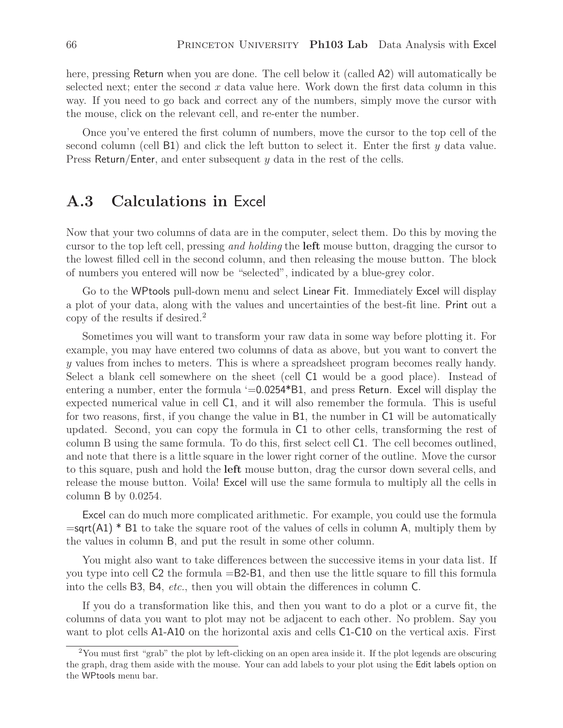here, pressing Return when you are done. The cell below it (called A2) will automatically be selected next; enter the second  $x$  data value here. Work down the first data column in this way. If you need to go back and correct any of the numbers, simply move the cursor with the mouse, click on the relevant cell, and re-enter the number.

Once you've entered the first column of numbers, move the cursor to the top cell of the second column (cell B1) and click the left button to select it. Enter the first y data value. Press Return/Enter, and enter subsequent  $\gamma$  data in the rest of the cells.

#### **A.3 Calculations in** Excel

Now that your two columns of data are in the computer, select them. Do this by moving the cursor to the top left cell, pressing *and holding* the **left** mouse button, dragging the cursor to the lowest filled cell in the second column, and then releasing the mouse button. The block of numbers you entered will now be "selected", indicated by a blue-grey color.

Go to the WPtools pull-down menu and select Linear Fit. Immediately Excel will display a plot of your data, along with the values and uncertainties of the best-fit line. Print out a copy of the results if desired.<sup>2</sup>

Sometimes you will want to transform your raw data in some way before plotting it. For example, you may have entered two columns of data as above, but you want to convert the y values from inches to meters. This is where a spreadsheet program becomes really handy. Select a blank cell somewhere on the sheet (cell C1 would be a good place). Instead of entering a number, enter the formula '=0.0254\*B1, and press Return. Excel will display the expected numerical value in cell C1, and it will also remember the formula. This is useful for two reasons, first, if you change the value in B1, the number in C1 will be automatically updated. Second, you can copy the formula in C1 to other cells, transforming the rest of column B using the same formula. To do this, first select cell C1. The cell becomes outlined, and note that there is a little square in the lower right corner of the outline. Move the cursor to this square, push and hold the **left** mouse button, drag the cursor down several cells, and release the mouse button. Voila! Excel will use the same formula to multiply all the cells in column B by 0.0254.

Excel can do much more complicated arithmetic. For example, you could use the formula  $=$ sqrt(A1)  $*$  B1 to take the square root of the values of cells in column A, multiply them by the values in column B, and put the result in some other column.

You might also want to take differences between the successive items in your data list. If you type into cell C2 the formula =B2-B1, and then use the little square to fill this formula into the cells B3, B4, *etc.*, then you will obtain the differences in column C.

If you do a transformation like this, and then you want to do a plot or a curve fit, the columns of data you want to plot may not be adjacent to each other. No problem. Say you want to plot cells A1-A10 on the horizontal axis and cells C1-C10 on the vertical axis. First

<sup>2</sup>You must first "grab" the plot by left-clicking on an open area inside it. If the plot legends are obscuring the graph, drag them aside with the mouse. Your can add labels to your plot using the Edit labels option on the WPtools menu bar.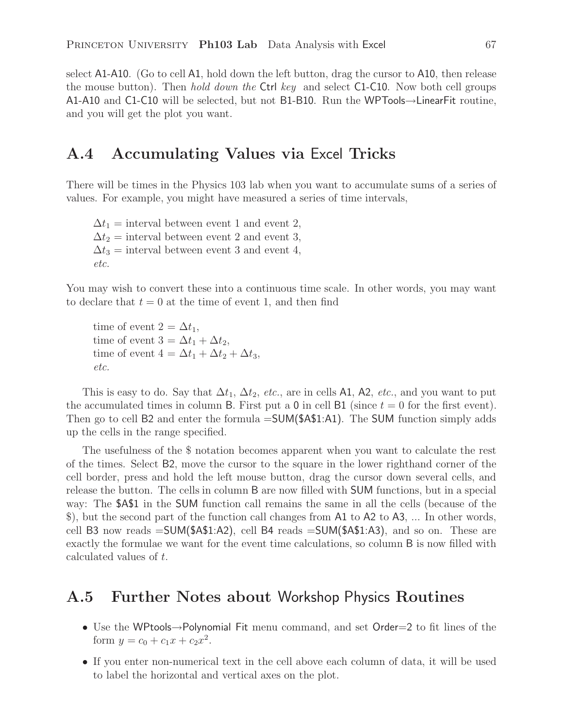select A1-A10. (Go to cell A1, hold down the left button, drag the cursor to A10, then release the mouse button). Then *hold down the* Ctrl *key* and select C1-C10. Now both cell groups A1-A10 and C1-C10 will be selected, but not B1-B10. Run the WPTools→LinearFit routine, and you will get the plot you want.

#### **A.4 Accumulating Values via** Excel **Tricks**

There will be times in the Physics 103 lab when you want to accumulate sums of a series of values. For example, you might have measured a series of time intervals,

 $\Delta t_1$  = interval between event 1 and event 2,  $\Delta t_2$  = interval between event 2 and event 3,  $\Delta t_3$  = interval between event 3 and event 4, *etc.*

You may wish to convert these into a continuous time scale. In other words, you may want to declare that  $t = 0$  at the time of event 1, and then find

time of event  $2 = \Delta t_1$ , time of event  $3 = \Delta t_1 + \Delta t_2$ , time of event  $4 = \Delta t_1 + \Delta t_2 + \Delta t_3$ , *etc.*

This is easy to do. Say that  $\Delta t_1$ ,  $\Delta t_2$ , *etc.*, are in cells A1, A2, *etc.*, and you want to put the accumulated times in column B. First put a 0 in cell B1 (since  $t = 0$  for the first event). Then go to cell B2 and enter the formula  $=SUM($ \$4\$1:A1). The SUM function simply adds up the cells in the range specified.

The usefulness of the \$ notation becomes apparent when you want to calculate the rest of the times. Select B2, move the cursor to the square in the lower righthand corner of the cell border, press and hold the left mouse button, drag the cursor down several cells, and release the button. The cells in column B are now filled with SUM functions, but in a special way: The \$A\$1 in the SUM function call remains the same in all the cells (because of the \$), but the second part of the function call changes from A1 to A2 to A3, ... In other words, cell B3 now reads =SUM(\$A\$1:A2), cell B4 reads =SUM(\$A\$1:A3), and so on. These are exactly the formulae we want for the event time calculations, so column B is now filled with calculated values of t.

#### **A.5 Further Notes about** Workshop Physics **Routines**

- Use the WPtools→Polynomial Fit menu command, and set Order=2 to fit lines of the form  $y = c_0 + c_1 x + c_2 x^2$ .
- If you enter non-numerical text in the cell above each column of data, it will be used to label the horizontal and vertical axes on the plot.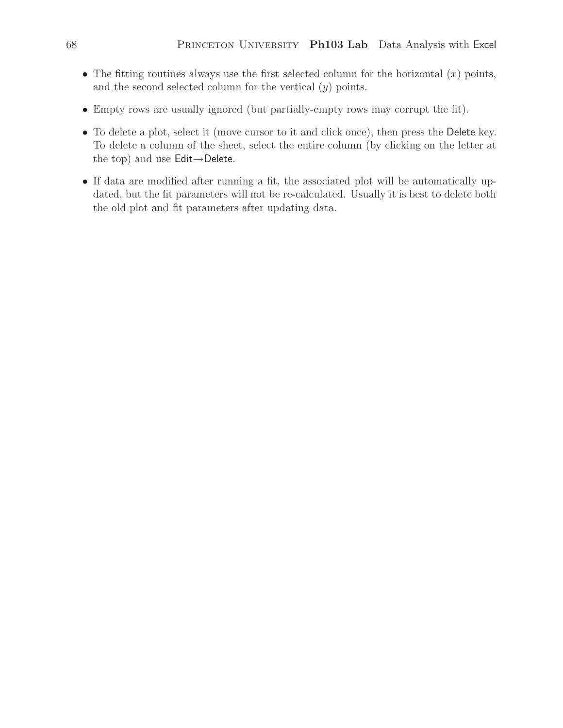- The fitting routines always use the first selected column for the horizontal  $(x)$  points, and the second selected column for the vertical  $(y)$  points.
- Empty rows are usually ignored (but partially-empty rows may corrupt the fit).
- To delete a plot, select it (move cursor to it and click once), then press the Delete key. To delete a column of the sheet, select the entire column (by clicking on the letter at the top) and use Edit→Delete.
- If data are modified after running a fit, the associated plot will be automatically updated, but the fit parameters will not be re-calculated. Usually it is best to delete both the old plot and fit parameters after updating data.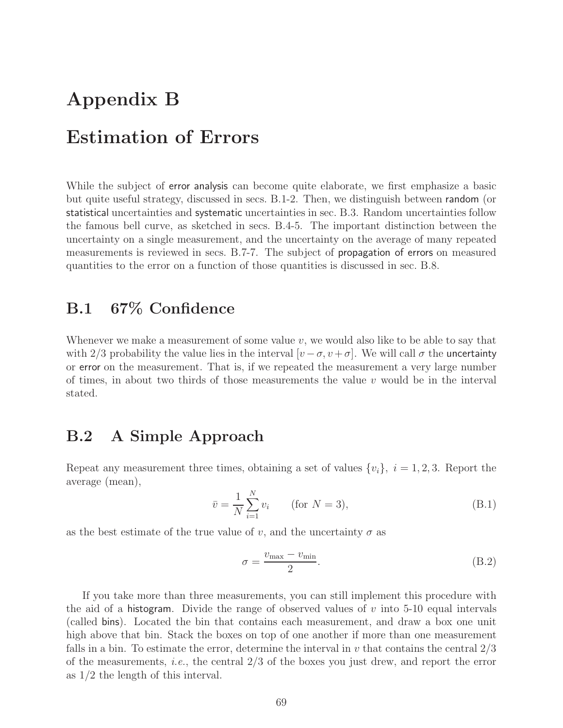# **Appendix B Estimation of Errors**

While the subject of **error analysis** can become quite elaborate, we first emphasize a basic but quite useful strategy, discussed in secs. B.1-2. Then, we distinguish between random (or statistical uncertainties and systematic uncertainties in sec. B.3. Random uncertainties follow the famous bell curve, as sketched in secs. B.4-5. The important distinction between the uncertainty on a single measurement, and the uncertainty on the average of many repeated measurements is reviewed in secs. B.7-7. The subject of propagation of errors on measured quantities to the error on a function of those quantities is discussed in sec. B.8.

## **B.1 67% Confidence**

Whenever we make a measurement of some value  $v$ , we would also like to be able to say that with 2/3 probability the value lies in the interval  $[v - \sigma, v + \sigma]$ . We will call  $\sigma$  the uncertainty or error on the measurement. That is, if we repeated the measurement a very large number of times, in about two thirds of those measurements the value  $v$  would be in the interval stated.

## **B.2 A Simple Approach**

Repeat any measurement three times, obtaining a set of values  $\{v_i\}, i = 1, 2, 3$ . Report the average (mean),

$$
\bar{v} = \frac{1}{N} \sum_{i=1}^{N} v_i \qquad \text{(for } N = 3\text{)},\tag{B.1}
$$

as the best estimate of the true value of v, and the uncertainty  $\sigma$  as

$$
\sigma = \frac{v_{\text{max}} - v_{\text{min}}}{2}.
$$
\n(B.2)

If you take more than three measurements, you can still implement this procedure with the aid of a histogram. Divide the range of observed values of v into 5-10 equal intervals (called bins). Located the bin that contains each measurement, and draw a box one unit high above that bin. Stack the boxes on top of one another if more than one measurement falls in a bin. To estimate the error, determine the interval in  $v$  that contains the central  $2/3$ of the measurements, *i.e.*, the central 2/3 of the boxes you just drew, and report the error as 1/2 the length of this interval.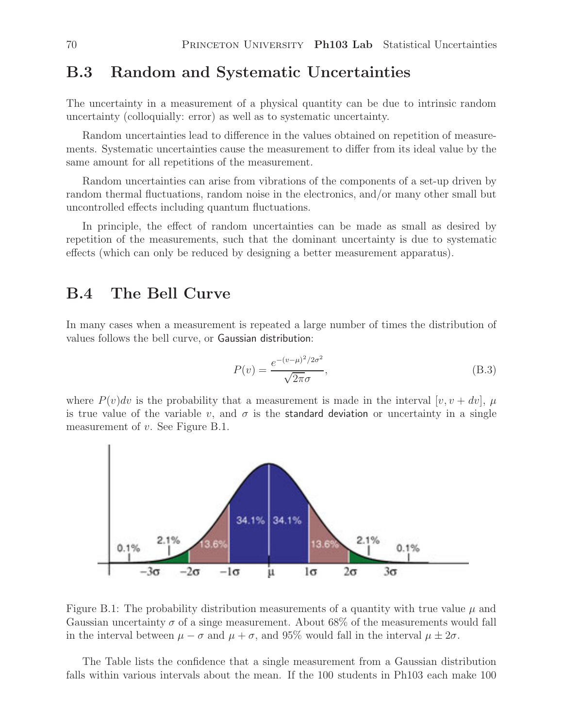#### **B.3 Random and Systematic Uncertainties**

The uncertainty in a measurement of a physical quantity can be due to intrinsic random uncertainty (colloquially: error) as well as to systematic uncertainty.

Random uncertainties lead to difference in the values obtained on repetition of measurements. Systematic uncertainties cause the measurement to differ from its ideal value by the same amount for all repetitions of the measurement.

Random uncertainties can arise from vibrations of the components of a set-up driven by random thermal fluctuations, random noise in the electronics, and/or many other small but uncontrolled effects including quantum fluctuations.

In principle, the effect of random uncertainties can be made as small as desired by repetition of the measurements, such that the dominant uncertainty is due to systematic effects (which can only be reduced by designing a better measurement apparatus).

#### **B.4 The Bell Curve**

In many cases when a measurement is repeated a large number of times the distribution of values follows the bell curve, or Gaussian distribution:

$$
P(v) = \frac{e^{-(v-\mu)^2/2\sigma^2}}{\sqrt{2\pi}\sigma},
$$
\n(B.3)

where  $P(v)dv$  is the probability that a measurement is made in the interval  $[v, v + dv]$ ,  $\mu$ is true value of the variable v, and  $\sigma$  is the standard deviation or uncertainty in a single measurement of v. See Figure B.1.



Figure B.1: The probability distribution measurements of a quantity with true value  $\mu$  and Gaussian uncertainty  $\sigma$  of a singe measurement. About 68% of the measurements would fall in the interval between  $\mu - \sigma$  and  $\mu + \sigma$ , and 95% would fall in the interval  $\mu \pm 2\sigma$ .

The Table lists the confidence that a single measurement from a Gaussian distribution falls within various intervals about the mean. If the 100 students in Ph103 each make 100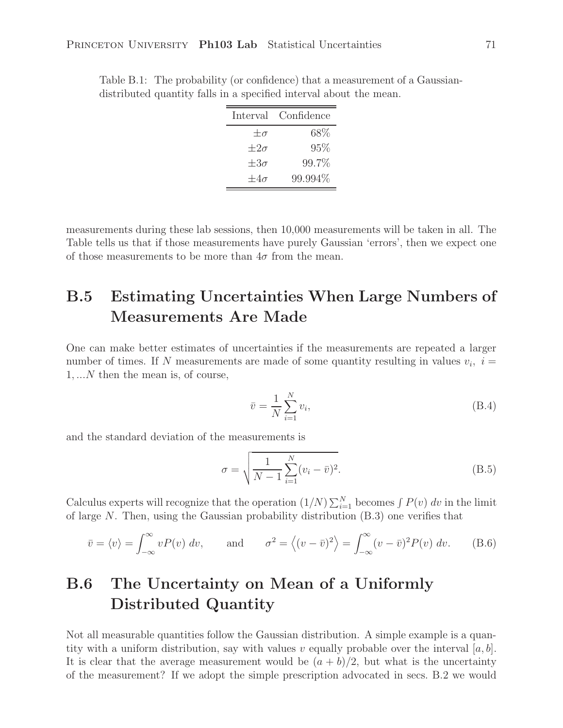| Interval Confidence |
|---------------------|
| 68\%                |
| 95%                 |
| 99.7%               |
| 99.994%             |
|                     |

Table B.1: The probability (or confidence) that a measurement of a Gaussiandistributed quantity falls in a specified interval about the mean.

measurements during these lab sessions, then 10,000 measurements will be taken in all. The Table tells us that if those measurements have purely Gaussian 'errors', then we expect one of those measurements to be more than  $4\sigma$  from the mean.

# **B.5 Estimating Uncertainties When Large Numbers of Measurements Are Made**

One can make better estimates of uncertainties if the measurements are repeated a larger number of times. If N measurements are made of some quantity resulting in values  $v_i$ ,  $i =$ 1, ...N then the mean is, of course,

$$
\bar{v} = \frac{1}{N} \sum_{i=1}^{N} v_i,
$$
\n(B.4)

and the standard deviation of the measurements is

$$
\sigma = \sqrt{\frac{1}{N-1} \sum_{i=1}^{N} (v_i - \bar{v})^2}.
$$
 (B.5)

Calculus experts will recognize that the operation  $(1/N)\sum_{i=1}^{N}$  becomes  $\int P(v) dv$  in the limit of large N. Then, using the Caussian probability distribution (B.3) one verifies that of large N. Then, using the Gaussian probability distribution (B.3) one verifies that

$$
\bar{v} = \langle v \rangle = \int_{-\infty}^{\infty} v P(v) dv, \quad \text{and} \quad \sigma^2 = \langle (v - \bar{v})^2 \rangle = \int_{-\infty}^{\infty} (v - \bar{v})^2 P(v) dv. \quad (B.6)
$$

# **B.6 The Uncertainty on Mean of a Uniformly Distributed Quantity**

Not all measurable quantities follow the Gaussian distribution. A simple example is a quantity with a uniform distribution, say with values v equally probable over the interval  $[a, b]$ . It is clear that the average measurement would be  $(a + b)/2$ , but what is the uncertainty of the measurement? If we adopt the simple prescription advocated in secs. B.2 we would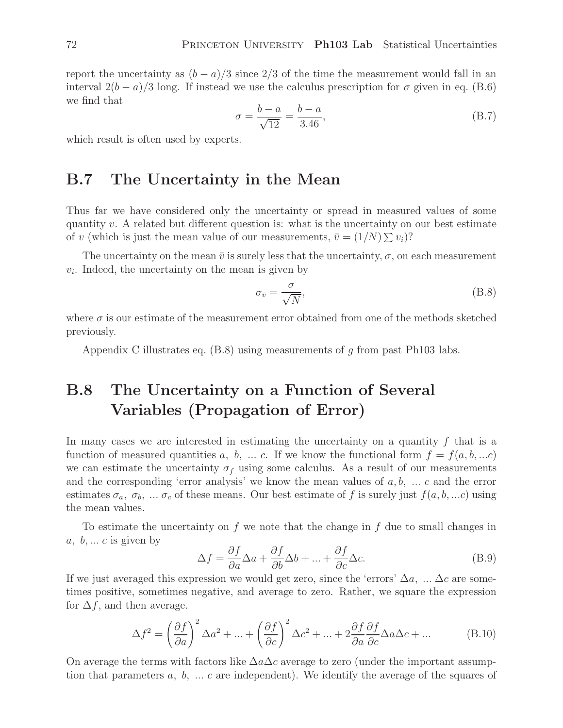report the uncertainty as  $(b - a)/3$  since 2/3 of the time the measurement would fall in an interval  $2(b-a)/3$  long. If instead we use the calculus prescription for  $\sigma$  given in eq. (B.6) we find that

$$
\sigma = \frac{b - a}{\sqrt{12}} = \frac{b - a}{3.46},\tag{B.7}
$$

which result is often used by experts.

#### **B.7 The Uncertainty in the Mean**

Thus far we have considered only the uncertainty or spread in measured values of some quantity v. A related but different question is: what is the uncertainty on our best estimate of v (which is just the mean value of our measurements,  $\bar{v} = (1/N) \sum v_i$ ?

The uncertainty on the mean  $\bar{v}$  is surely less that the uncertainty,  $\sigma$ , on each measurement  $v_i$ . Indeed, the uncertainty on the mean is given by

$$
\sigma_{\bar{v}} = \frac{\sigma}{\sqrt{N}},\tag{B.8}
$$

where  $\sigma$  is our estimate of the measurement error obtained from one of the methods sketched previously.

Appendix C illustrates eq.  $(B.8)$  using measurements of g from past Ph103 labs.

# **B.8 The Uncertainty on a Function of Several Variables (Propagation of Error)**

In many cases we are interested in estimating the uncertainty on a quantity  $f$  that is a function of measured quantities a, b, ... c. If we know the functional form  $f = f(a, b, ...c)$ we can estimate the uncertainty  $\sigma_f$  using some calculus. As a result of our measurements and the corresponding 'error analysis' we know the mean values of  $a, b, \ldots c$  and the error estimates  $\sigma_a$ ,  $\sigma_b$ , ...  $\sigma_c$  of these means. Our best estimate of f is surely just  $f(a, b, ...c)$  using the mean values.

To estimate the uncertainty on f we note that the change in f due to small changes in  $a, b, \ldots c$  is given by

$$
\Delta f = \frac{\partial f}{\partial a} \Delta a + \frac{\partial f}{\partial b} \Delta b + \dots + \frac{\partial f}{\partial c} \Delta c.
$$
 (B.9)

If we just averaged this expression we would get zero, since the 'errors'  $\Delta a$ , ...  $\Delta c$  are sometimes positive, sometimes negative, and average to zero. Rather, we square the expression for  $\Delta f$ , and then average.

$$
\Delta f^2 = \left(\frac{\partial f}{\partial a}\right)^2 \Delta a^2 + \dots + \left(\frac{\partial f}{\partial c}\right)^2 \Delta c^2 + \dots + 2\frac{\partial f}{\partial a}\frac{\partial f}{\partial c} \Delta a \Delta c + \dots
$$
 (B.10)

On average the terms with factors like  $\Delta a \Delta c$  average to zero (under the important assumption that parameters  $a, b, \ldots c$  are independent). We identify the average of the squares of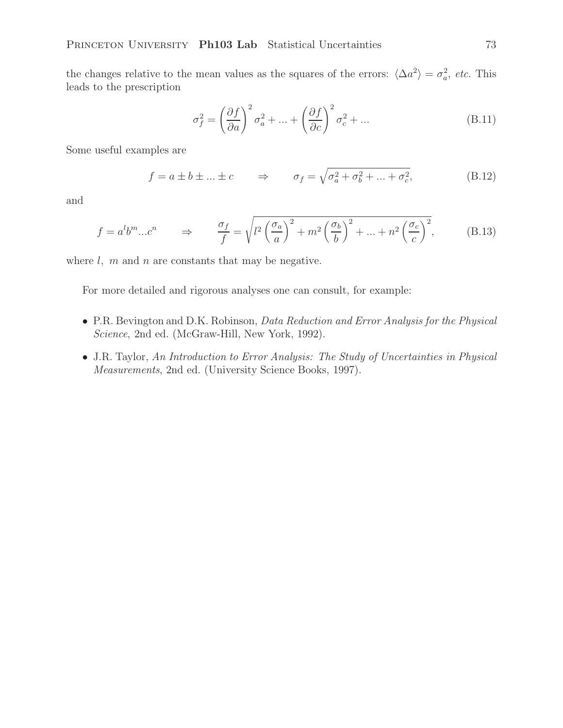the changes relative to the mean values as the squares of the errors:  $\langle \Delta a^2 \rangle = \sigma_a^2$ , *etc.* This leads to the prescription

$$
\sigma_f^2 = \left(\frac{\partial f}{\partial a}\right)^2 \sigma_a^2 + \dots + \left(\frac{\partial f}{\partial c}\right)^2 \sigma_c^2 + \dots
$$
 (B.11)

Some useful examples are

$$
f = a \pm b \pm \dots \pm c \qquad \Rightarrow \qquad \sigma_f = \sqrt{\sigma_a^2 + \sigma_b^2 + \dots + \sigma_c^2}, \tag{B.12}
$$

and

$$
f = a^l b^m ... c^n \qquad \Rightarrow \qquad \frac{\sigma_f}{f} = \sqrt{l^2 \left(\frac{\sigma_a}{a}\right)^2 + m^2 \left(\frac{\sigma_b}{b}\right)^2 + ... + n^2 \left(\frac{\sigma_c}{c}\right)^2},\tag{B.13}
$$

where  $l, m$  and  $n$  are constants that may be negative.

For more detailed and rigorous analyses one can consult, for example:

- P.R. Bevington and D.K. Robinson, *Data Reduction and Error Analysis for the Physical Science*, 2nd ed. (McGraw-Hill, New York, 1992).
- J.R. Taylor, *An Introduction to Error Analysis: The Study of Uncertainties in Physical Measurements*, 2nd ed. (University Science Books, 1997).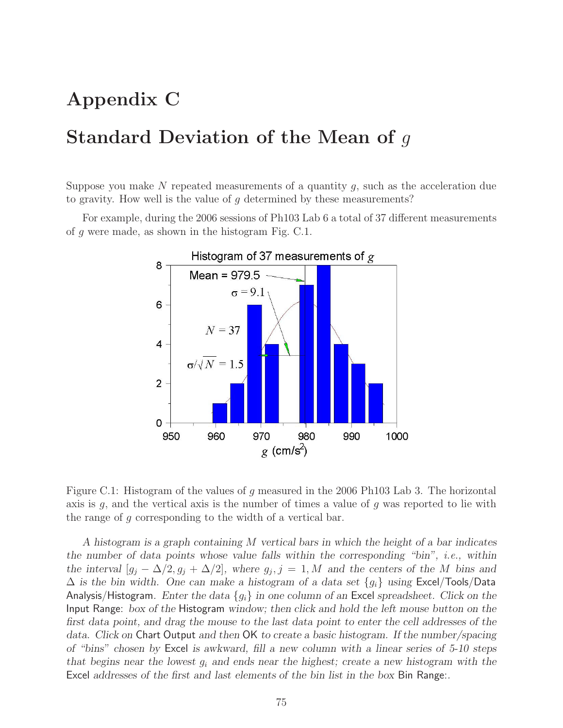# **Appendix C**

# **Standard Deviation of the Mean of** g

Suppose you make N repeated measurements of a quantity  $g$ , such as the acceleration due to gravity. How well is the value of  $q$  determined by these measurements?

For example, during the 2006 sessions of Ph103 Lab 6 a total of 37 different measurements of g were made, as shown in the histogram Fig. C.1.



Figure C.1: Histogram of the values of g measured in the 2006 Ph103 Lab 3. The horizontal axis is  $g$ , and the vertical axis is the number of times a value of  $g$  was reported to lie with the range of g corresponding to the width of a vertical bar.

*A histogram is a graph containing* M *vertical bars in which the height of a bar indicates the number of data points whose value falls within the corresponding "bin", i.e., within the interval*  $[g_j - \Delta/2, g_j + \Delta/2]$ *, where*  $g_j$ *, j* = 1*, M* and the centers of the M bins and  $\Delta$  *is the bin width. One can make a histogram of a data set*  ${g_i}$  *using* Excel/Tools/Data Analysis/Histogram*. Enter the data* {gi} *in one column of an* Excel *spreadsheet. Click on the* Input Range: *box of the* Histogram *window; then click and hold the left mouse button on the first data point, and drag the mouse to the last data point to enter the cell addresses of the data. Click on* Chart Output *and then* OK *to create a basic histogram. If the number/spacing of "bins" chosen by* Excel *is awkward, fill a new column with a linear series of 5-10 steps that begins near the lowest* <sup>g</sup>i *and ends near the highest; create a new histogram with the* Excel *addresses of the first and last elements of the bin list in the box* Bin Range:*.*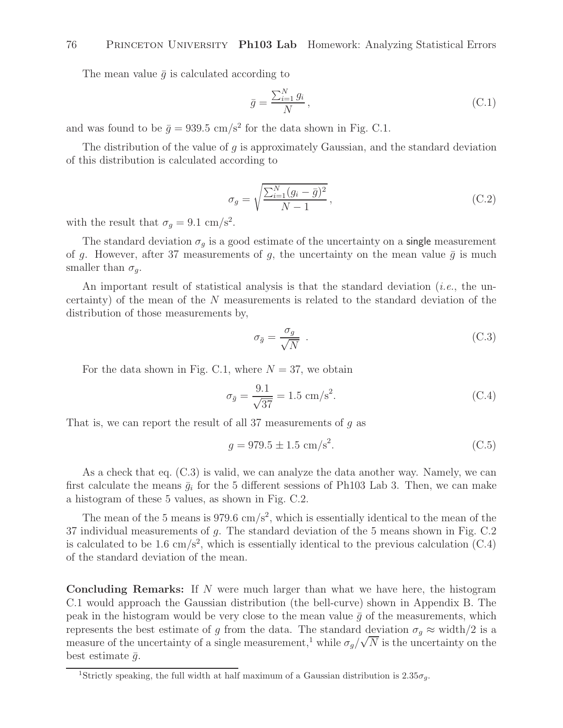The mean value  $\bar{q}$  is calculated according to

$$
\bar{g} = \frac{\sum_{i=1}^{N} g_i}{N},\tag{C.1}
$$

and was found to be  $\bar{g} = 939.5$  cm/s<sup>2</sup> for the data shown in Fig. C.1.

The distribution of the value of  $q$  is approximately Gaussian, and the standard deviation of this distribution is calculated according to

$$
\sigma_g = \sqrt{\frac{\sum_{i=1}^N (g_i - \bar{g})^2}{N - 1}},
$$
\n(C.2)

with the result that  $\sigma_g = 9.1 \text{ cm/s}^2$ .

The standard deviation  $\sigma_g$  is a good estimate of the uncertainty on a single measurement of g. However, after 37 measurements of g, the uncertainty on the mean value  $\bar{g}$  is much smaller than  $\sigma_q$ .

An important result of statistical analysis is that the standard deviation (*i.e.*, the uncertainty) of the mean of the N measurements is related to the standard deviation of the distribution of those measurements by,

$$
\sigma_{\bar{g}} = \frac{\sigma_g}{\sqrt{N}} \tag{C.3}
$$

For the data shown in Fig. C.1, where  $N = 37$ , we obtain

$$
\sigma_{\bar{g}} = \frac{9.1}{\sqrt{37}} = 1.5 \text{ cm/s}^2. \tag{C.4}
$$

That is, we can report the result of all 37 measurements of  $g$  as

$$
g = 979.5 \pm 1.5 \text{ cm/s}^2. \tag{C.5}
$$

As a check that eq. (C.3) is valid, we can analyze the data another way. Namely, we can first calculate the means  $\bar{g}_i$  for the 5 different sessions of Ph103 Lab 3. Then, we can make a histogram of these 5 values, as shown in Fig. C.2.

The mean of the 5 means is 979.6 cm/s<sup>2</sup>, which is essentially identical to the mean of the 37 individual measurements of g. The standard deviation of the 5 means shown in Fig. C.2 is calculated to be 1.6 cm/s<sup>2</sup>, which is essentially identical to the previous calculation  $(C.4)$ of the standard deviation of the mean.

**Concluding Remarks:** If N were much larger than what we have here, the histogram C.1 would approach the Gaussian distribution (the bell-curve) shown in Appendix B. The peak in the histogram would be very close to the mean value  $\bar{g}$  of the measurements, which represents the best estimate of g from the data. The standard deviation  $\sigma_g \approx$  width/2 is a measure of the uncertainty of a single measurement,<sup>1</sup> while  $\sigma_g/\sqrt{N}$  is the uncertainty on the best estimate  $\bar{g}$ .

<sup>&</sup>lt;sup>1</sup>Strictly speaking, the full width at half maximum of a Gaussian distribution is  $2.35\sigma_q$ .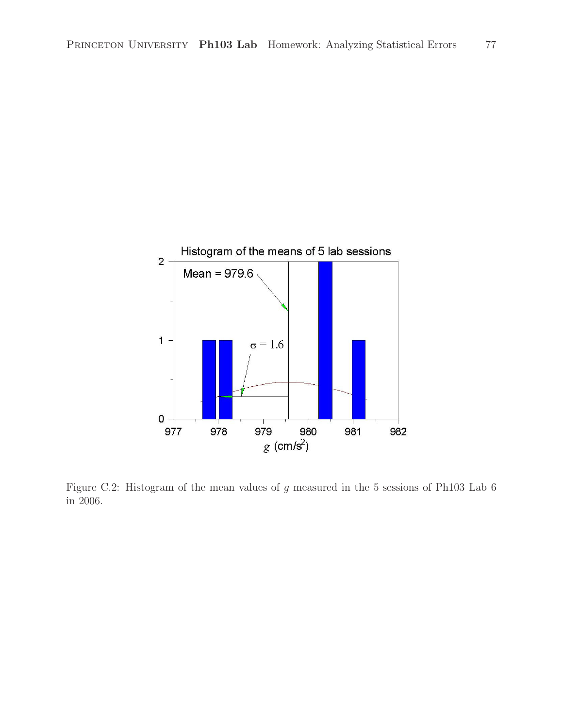

Figure C.2: Histogram of the mean values of g measured in the 5 sessions of Ph103 Lab 6 in 2006.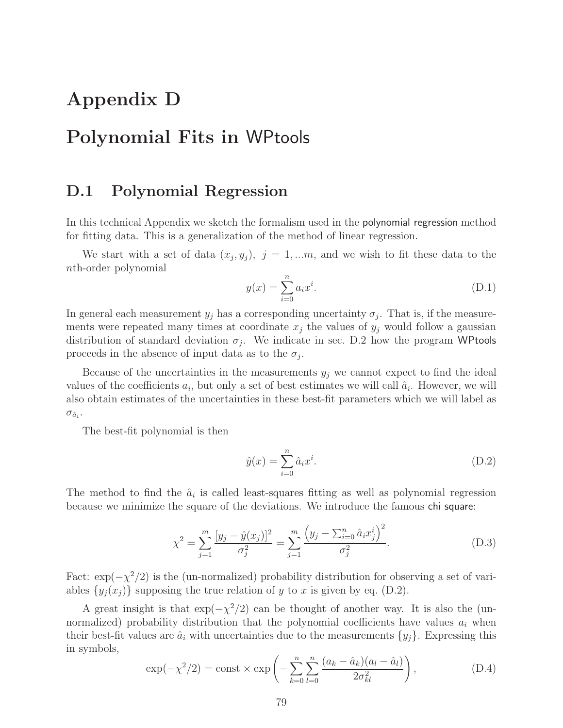# **Appendix D**

# **Polynomial Fits in** WPtools

#### **D.1 Polynomial Regression**

In this technical Appendix we sketch the formalism used in the polynomial regression method for fitting data. This is a generalization of the method of linear regression.

We start with a set of data  $(x_j, y_j)$ ,  $j = 1,...m$ , and we wish to fit these data to the nth-order polynomial

$$
y(x) = \sum_{i=0}^{n} a_i x^i.
$$
 (D.1)

In general each measurement  $y_j$  has a corresponding uncertainty  $\sigma_j$ . That is, if the measurements were repeated many times at coordinate  $x_j$  the values of  $y_j$  would follow a gaussian distribution of standard deviation  $\sigma_j$ . We indicate in sec. D.2 how the program WPtools proceeds in the absence of input data as to the  $\sigma_i$ .

Because of the uncertainties in the measurements  $y_j$  we cannot expect to find the ideal values of the coefficients  $a_i$ , but only a set of best estimates we will call  $\hat{a}_i$ . However, we will also obtain estimates of the uncertainties in these best-fit parameters which we will label as  $\sigma_{\hat{a}_i}$ .

The best-fit polynomial is then

$$
\hat{y}(x) = \sum_{i=0}^{n} \hat{a}_i x^i.
$$
\n(D.2)

The method to find the  $\hat{a}_i$  is called least-squares fitting as well as polynomial regression because we minimize the square of the deviations. We introduce the famous chi square:

$$
\chi^2 = \sum_{j=1}^m \frac{[y_j - \hat{y}(x_j)]^2}{\sigma_j^2} = \sum_{j=1}^m \frac{\left(y_j - \sum_{i=0}^n \hat{a}_i x_j^i\right)^2}{\sigma_j^2}.
$$
\n(D.3)

Fact:  $\exp(-\chi^2/2)$  is the (un-normalized) probability distribution for observing a set of variables  $\{y_j(x_j)\}\$  supposing the true relation of y to x is given by eq. (D.2).

A great insight is that  $\exp(-\chi^2/2)$  can be thought of another way. It is also the (unnormalized) probability distribution that the polynomial coefficients have values  $a_i$  when their best-fit values are  $\hat{a}_i$  with uncertainties due to the measurements  $\{y_j\}$ . Expressing this in symbols,

$$
\exp(-\chi^2/2) = \text{const} \times \exp\left(-\sum_{k=0}^n \sum_{l=0}^n \frac{(a_k - \hat{a}_k)(a_l - \hat{a}_l)}{2\sigma_{kl}^2}\right),\tag{D.4}
$$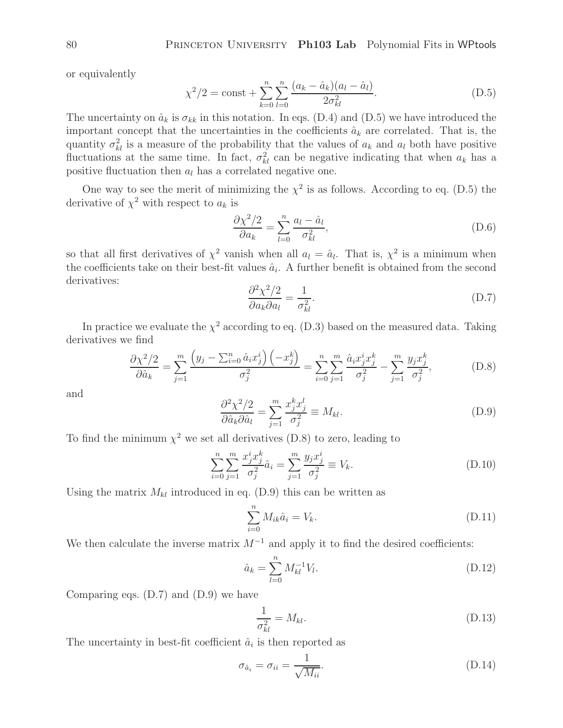or equivalently

$$
\chi^2/2 = \text{const} + \sum_{k=0}^{n} \sum_{l=0}^{n} \frac{(a_k - \hat{a}_k)(a_l - \hat{a}_l)}{2\sigma_{kl}^2}.
$$
 (D.5)

 $k=0$  l=0<br>The uncertainty on  $\hat{a}_k$  is  $\sigma_{kk}$  in this notation. In eqs. (D.4) and (D.5) we have introduced the<br>integration consents that the uncertainties in the so officients  $\hat{a}_k$  are sempleted. That is the important concept that the uncertainties in the coefficients  $\hat{a}_k$  are correlated. That is, the quantity  $\sigma_{kl}^2$  is a measure of the probability that the values of  $a_k$  and  $a_l$  both have positive<br>fluctuations at the same time. In fact,  $\sigma_{ij}^2$  can be positive indicating that when  $a_k$  has a fluctuations at the same time. In fact,  $\sigma_{kl}^2$  can be negative indicating that when  $a_k$  has a positive fluctuation than  $a_k$  has a correlated positive and positive fluctuation then  $a_l$  has a correlated negative one.

One way to see the merit of minimizing the  $\chi^2$  is as follows. According to eq. (D.5) the derivative of  $\chi^2$  with respect to  $a_k$  is

$$
\frac{\partial \chi^2/2}{\partial a_k} = \sum_{l=0}^n \frac{a_l - \hat{a}_l}{\sigma_{kl}^2},\tag{D.6}
$$

so that all first derivatives of  $\chi^2$  vanish when all  $a_l = \hat{a}_l$ . That is,  $\chi^2$  is a minimum when the coefficients take on their best-fit values  $\hat{a}_i$ . A further benefit is obtained from the second derivatives:

$$
\frac{\partial^2 \chi^2 / 2}{\partial a_k \partial a_l} = \frac{1}{\sigma_{kl}^2}.
$$
 (D.7)

In practice we evaluate the  $\chi^2$  according to eq. (D.3) based on the measured data. Taking derivatives we find

$$
\frac{\partial \chi^2/2}{\partial \hat{a}_k} = \sum_{j=1}^m \frac{\left(y_j - \sum_{i=0}^n \hat{a}_i x_j^i\right) \left(-x_j^k\right)}{\sigma_j^2} = \sum_{i=0}^n \sum_{j=1}^m \frac{\hat{a}_i x_j^i x_j^k}{\sigma_j^2} - \sum_{j=1}^m \frac{y_j x_j^k}{\sigma_j^2},\tag{D.8}
$$

and

$$
\frac{\partial^2 \chi^2 / 2}{\partial \hat{a}_k \partial \hat{a}_l} = \sum_{j=1}^m \frac{x_j^k x_j^l}{\sigma_j^2} \equiv M_{kl}.
$$
 (D.9)

 $\frac{\partial \hat{a}_k \partial \hat{a}_l}{\partial \hat{a}_k} \stackrel{\sim}{\longrightarrow} \frac{\sigma_j^2}{\sigma_j^2}$  and the minimum  $\chi^2$  we set all derivatives (D.8) to zero, leading to

$$
\sum_{i=0}^{n} \sum_{j=1}^{m} \frac{x_j^i x_j^k}{\sigma_j^2} \hat{a}_i = \sum_{j=1}^{m} \frac{y_j x_j^i}{\sigma_j^2} \equiv V_k.
$$
 (D.10)

Using the matrix  $M_{kl}$  introduced in eq. (D.9) this can be written as

$$
\sum_{i=0}^{n} M_{ik}\hat{a}_i = V_k.
$$
\n(D.11)

We then calculate the inverse matrix  $M^{-1}$  and apply it to find the desired coefficients:

$$
\hat{a}_k = \sum_{l=0}^n M_{kl}^{-1} V_l.
$$
\n(D.12)

Comparing eqs. (D.7) and (D.9) we have

$$
\frac{1}{\sigma_{kl}^2} = M_{kl}.\tag{D.13}
$$

The uncertainty in best-fit coefficient  $\hat{a}_i$  is then reported as

$$
\sigma_{\hat{a}_i} = \sigma_{ii} = \frac{1}{\sqrt{M_{ii}}}.
$$
\n(D.14)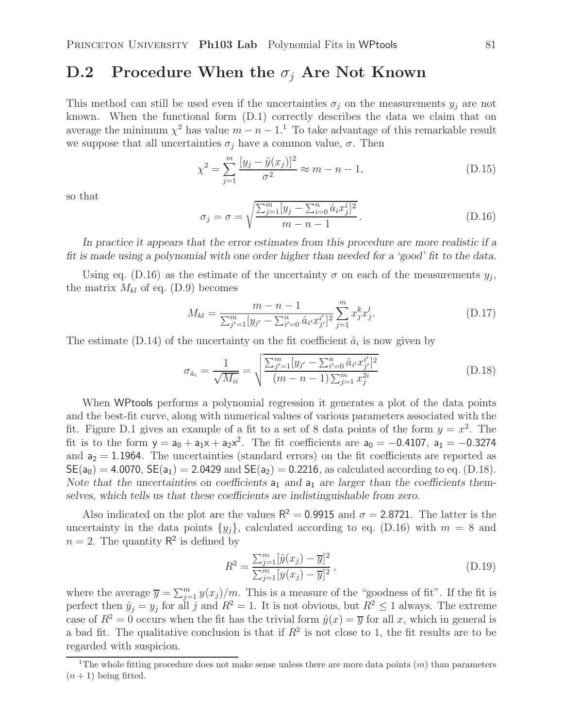# **D.2** Procedure When the  $\sigma_i$  Are Not Known

This method can still be used even if the uncertainties  $\sigma_j$  on the measurements  $y_j$  are not known. When the functional form (D.1) correctly describes the data we claim that on average the minimum  $\chi^2$  has value  $m - n - 1$ .<sup>1</sup> To take advantage of this remarkable result we suppose that all uncertainties  $\sigma_i$  have a common value,  $\sigma$ . Then

$$
\chi^2 = \sum_{j=1}^{m} \frac{[y_j - \hat{y}(x_j)]^2}{\sigma^2} \approx m - n - 1,
$$
\n(D.15)

so that

$$
\sigma_j = \sigma = \sqrt{\frac{\sum_{j=1}^m [y_j - \sum_{i=0}^n \hat{a}_i x_j^i]^2}{m - n - 1}}.
$$
\n(D.16)

*In practice it appears that the error estimates from this procedure are more realistic if a fit is made using a polynomial with one order higher than needed for a 'good' fit to the data.*

Using eq. (D.16) as the estimate of the uncertainty  $\sigma$  on each of the measurements  $y_i$ , the matrix  $M_{kl}$  of eq. (D.9) becomes

$$
M_{kl} = \frac{m - n - 1}{\sum_{j'=1}^{m} [y_{j'} - \sum_{i'=0}^{n} \hat{a}_{i'} x_{j'}^{i'}]^2} \sum_{j=1}^{m} x_j^k x_j^l.
$$
 (D.17)

The estimate (D.14) of the uncertainty on the fit coefficient  $\hat{a}_i$  is now given by

$$
\sigma_{\hat{a}_i} = \frac{1}{\sqrt{M_{ii}}} = \sqrt{\frac{\sum_{j'=1}^m [y_{j'} - \sum_{i'=0}^n \hat{a}_{i'} x_{j'}^{i'}]^2}{(m - n - 1) \sum_{j=1}^m x_j^{2i}}}
$$
(D.18)

When WPtools performs a polynomial regression it generates a plot of the data points and the best-fit curve, along with numerical values of various parameters associated with the fit. Figure D.1 gives an example of a fit to a set of 8 data points of the form  $y = x^2$ . The fit is to the form  $y = a_0 + a_1x + a_2x^2$ . The fit coefficients are  $a_0 = -0.4107$ ,  $a_1 = -0.3274$ and  $a_2 = 1.1964$ . The uncertainties (standard errors) on the fit coefficients are reported as  $SE(a_0) = 4.0070$ ,  $SE(a_1) = 2.0429$  and  $SE(a_2) = 0.2216$ , as calculated according to eq. (D.18). Note that the uncertainties on coefficients  $a_1$  and  $a_1$  are larger than the coefficients them*selves, which tells us that these coefficients are indistinguishable from zero.*

Also indicated on the plot are the values  $R^2 = 0.9915$  and  $\sigma = 2.8721$ . The latter is the uncertainty in the data points  $\{y_j\}$ , calculated according to eq. (D.16) with  $m = 8$  and  $n = 2$ . The quantity  $\mathsf{R}^2$  is defined by

$$
R^{2} = \frac{\sum_{j=1}^{m} [\hat{y}(x_{j}) - \overline{y}]^{2}}{\sum_{j=1}^{m} [y(x_{j}) - \overline{y}]^{2}},
$$
\n(D.19)

where the average  $\overline{y} = \sum_{j=1}^{m} y(x_j)/m$ . This is a measure of the "goodness of fit". If the fit is<br>partect then  $\hat{y} = y$  for all is and  $P^2 = 1$ . It is not obvious, but  $P^2 \le 1$  always. The average perfect then  $\hat{y}_j = y_j$  for all j and  $R^2 = 1$ . It is not obvious, but  $R^2 \le 1$  always. The extreme case of  $R^2 = 0$  occurs when the fit has the trivial form  $\hat{y}(x) = \overline{y}$  for all x, which in general is a bad fit. The qualitative conclusion is that if  $R^2$  is not close to 1, the fit results are to be regarded with suspicion.

<sup>&</sup>lt;sup>1</sup>The whole fitting procedure does not make sense unless there are more data points  $(m)$  than parameters  $(n+1)$  being fitted.